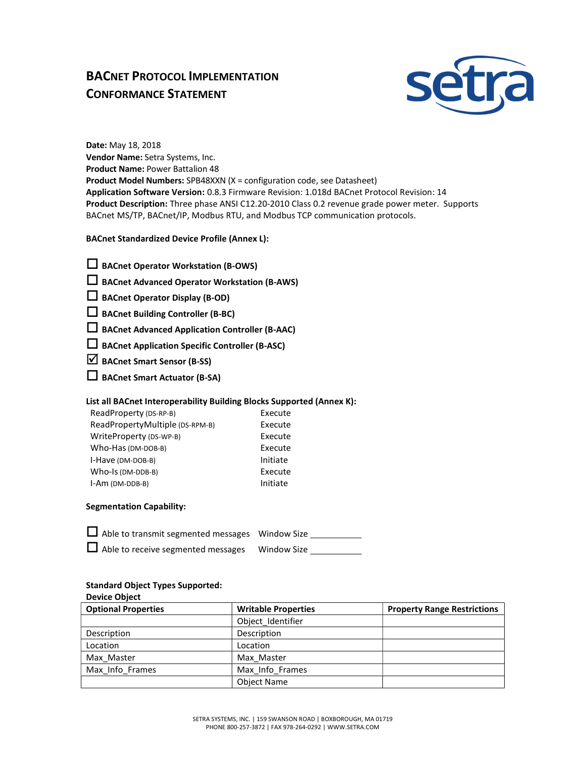# BACNET PROTOCOL IMPLEMENTATION CONFORMANCE STATEMENT



Date: May 18, 2018 Vendor Name: Setra Systems, Inc. Product Name: Power Battalion 48 Product Model Numbers: SPB48XXN (X = configuration code, see Datasheet) Application Software Version: 0.8.3 Firmware Revision: 1.018d BACnet Protocol Revision: 14 Product Description: Three phase ANSI C12.20-2010 Class 0.2 revenue grade power meter. Supports BACnet MS/TP, BACnet/IP, Modbus RTU, and Modbus TCP communication protocols.

BACnet Standardized Device Profile (Annex L):

| $\Box$ BACnet Operator Workstation (B-OWS) |  |
|--------------------------------------------|--|
|--------------------------------------------|--|

 $\square$  BACnet Advanced Operator Workstation (B-AWS)

 $\square$  BACnet Operator Display (B-OD)

BACnet Building Controller (B-BC)

BACnet Advanced Application Controller (B-AAC)

 $\square$  BACnet Application Specific Controller (B-ASC)

 $\triangledown$  BACnet Smart Sensor (B-SS)

BACnet Smart Actuator (B-SA)

## List all BACnet Interoperability Building Blocks Supported (Annex K):

| ReadProperty (DS-RP-B)          | Execute  |
|---------------------------------|----------|
| ReadPropertyMultiple (DS-RPM-B) | Execute  |
| WriteProperty (DS-WP-B)         | Execute  |
| Who-Has (DM-DOB-B)              | Execute  |
| I-Have (DM-DOB-B)               | Initiate |
| Who-Is (DM-DDB-B)               | Execute  |
| I-Am (DM-DDB-B)                 | Initiate |

#### Segmentation Capability:

| $\Box$ Able to transmit segmented messages Window Size |                    |
|--------------------------------------------------------|--------------------|
| $\Box$ Able to receive segmented messages              | <b>Window Size</b> |

# Standard Object Types Supported:

Device Object

| <b>Optional Properties</b> | <b>Writable Properties</b> | <b>Property Range Restrictions</b> |
|----------------------------|----------------------------|------------------------------------|
|                            | Object Identifier          |                                    |
| Description                | Description                |                                    |
| Location                   | Location                   |                                    |
| Max Master                 | Max Master                 |                                    |
| Max Info Frames            | Max Info Frames            |                                    |
|                            | <b>Object Name</b>         |                                    |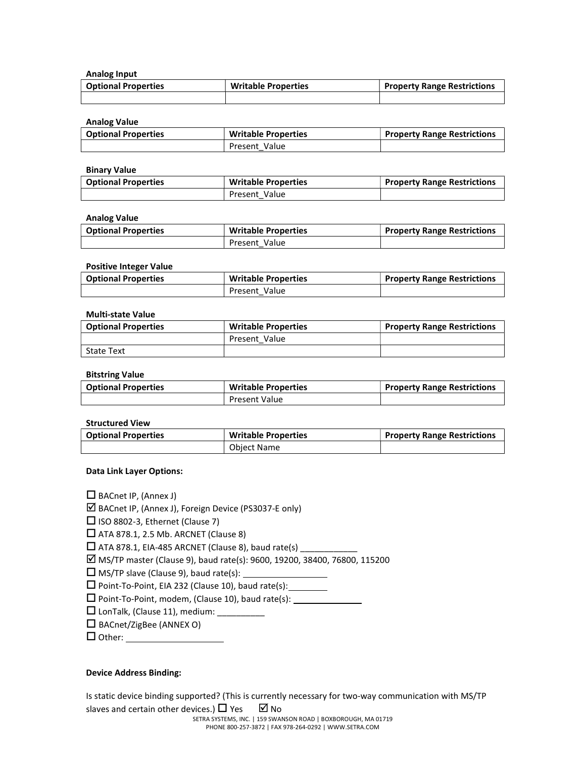Analog Input

| <b>Optional Properties</b> | <b>Writable Properties</b> | <b>Property Range Restrictions</b> |
|----------------------------|----------------------------|------------------------------------|
|                            |                            |                                    |

Analog Value

| <b>Optional Properties</b> | <b>Writable Properties</b> | <b>Property Range Restrictions</b> |
|----------------------------|----------------------------|------------------------------------|
|                            | Present Value              |                                    |

Binary Value

| <b>Optional Properties</b> | <b>Writable Properties</b> | <b>Property Range Restrictions</b> |
|----------------------------|----------------------------|------------------------------------|
|                            | Present Value              |                                    |

#### Analog Value

| <b>Optional Properties</b> | <b>Writable Properties</b> | <b>Property Range Restrictions</b> |
|----------------------------|----------------------------|------------------------------------|
|                            | Present Value              |                                    |

#### Positive Integer Value

| <b>Optional Properties</b> | <b>Writable Properties</b> | <b>Property Range Restrictions</b> |
|----------------------------|----------------------------|------------------------------------|
|                            | Present Value              |                                    |

#### Multi-state Value

| <b>Optional Properties</b> | <b>Writable Properties</b> | Property Range Restrictions |
|----------------------------|----------------------------|-----------------------------|
|                            | Present Value              |                             |
| <b>State Text</b>          |                            |                             |

#### Bitstring Value

| <b>Optional Properties</b> | <b>Writable Properties</b> | <b>Property Range Restrictions</b> |
|----------------------------|----------------------------|------------------------------------|
|                            | <b>Present Value</b>       |                                    |

#### Structured View

| <b>Optional Properties</b> | <b>Writable Properties</b> | <b>Property Range Restrictions</b> |
|----------------------------|----------------------------|------------------------------------|
|                            | <b>Object Name</b>         |                                    |

#### Data Link Layer Options:

 $\Box$  BACnet IP, (Annex J)

BACnet IP, (Annex J), Foreign Device (PS3037-E only)

 $\square$  ISO 8802-3, Ethernet (Clause 7)

 $\Box$  ATA 878.1, 2.5 Mb. ARCNET (Clause 8)

 $\square$  ATA 878.1, EIA-485 ARCNET (Clause 8), baud rate(s)

MS/TP master (Clause 9), baud rate(s): 9600, 19200, 38400, 76800, 115200

 $\Box$  MS/TP slave (Clause 9), baud rate(s):

 $\square$  Point-To-Point, EIA 232 (Clause 10), baud rate(s): \_\_\_\_\_\_\_\_

 $\square$  Point-To-Point, modem, (Clause 10), baud rate(s):  $\rule{1em}{0.15mm}$ 

- $\square$  LonTalk, (Clause 11), medium: \_\_\_\_\_\_
- $\square$  BACnet/ZigBee (ANNEX O)

 $\Box$  Other:

#### Device Address Binding:

Is static device binding supported? (This is currently necessary for two-way communication with MS/TP slaves and certain other devices.)  $\Box$  Yes  $\Box$  No